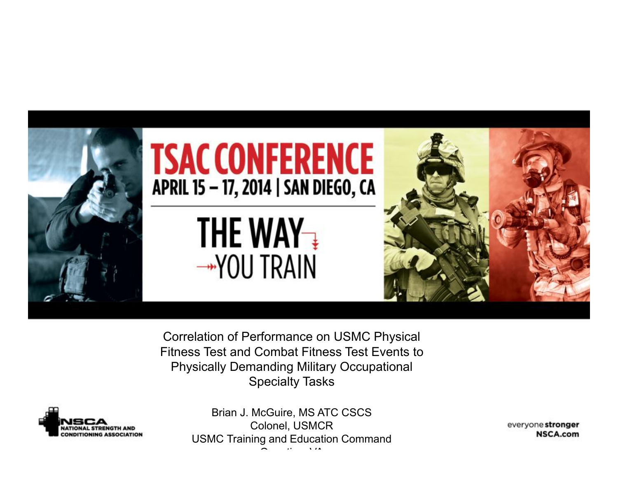

Correlation of Performance on USMC Physical Fitness Test and Combat Fitness Test Events to Physically Demanding Military Occupational Specialty Tasks



Brian J. McGuire, MS ATC CSCS Colonel, USMCR USMC Training and Education Command  $\sim$   $\sim$   $\sim$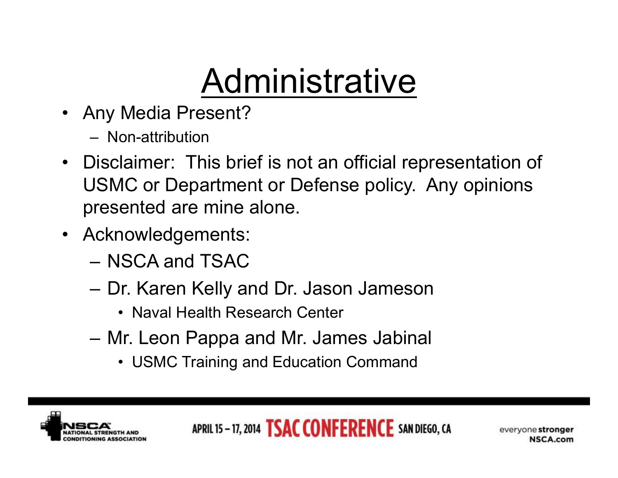# **Administrative**

- Any Media Present?
	- Non-attribution
- Disclaimer: This brief is not an official representation of USMC or Department or Defense policy. Any opinions presented are mine alone.
- Acknowledgements:
	- NSCA and TSAC
	- Dr. Karen Kelly and Dr. Jason Jameson
		- Naval Health Research Center
	- Mr. Leon Pappa and Mr. James Jabinal
		- USMC Training and Education Command

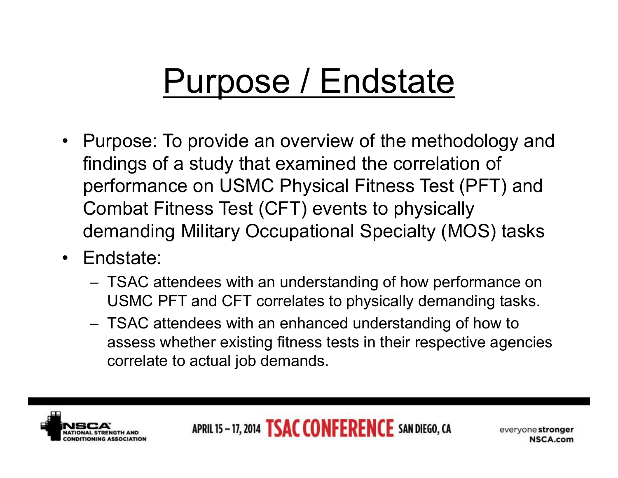## Purpose / Endstate

- Purpose: To provide an overview of the methodology and findings of a study that examined the correlation of performance on USMC Physical Fitness Test (PFT) and Combat Fitness Test (CFT) events to physically demanding Military Occupational Specialty (MOS) tasks
- Endstate:
	- TSAC attendees with an understanding of how performance on USMC PFT and CFT correlates to physically demanding tasks.
	- TSAC attendees with an enhanced understanding of how to assess whether existing fitness tests in their respective agencies correlate to actual job demands.

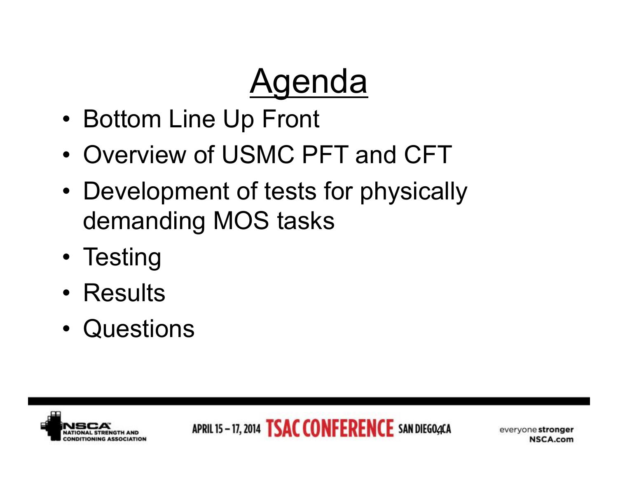## **Agenda**

- Bottom Line Up Front
- Overview of USMC PFT and CFT
- Development of tests for physically demanding MOS tasks
- Testing
- Results
- Questions

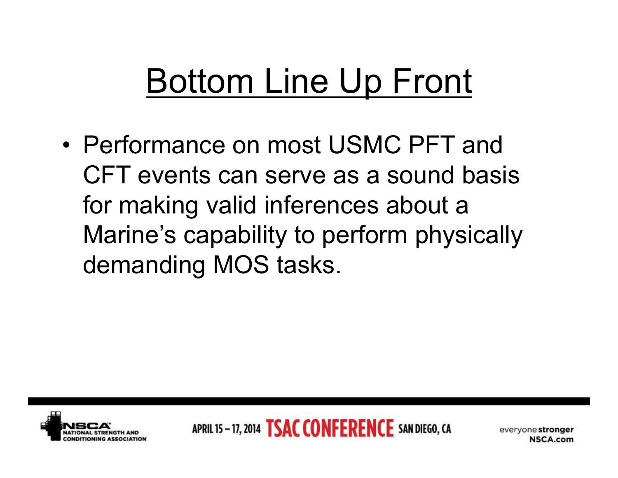# Bottom Line Up Front

• Performance on most USMC PFT and CFT events can serve as a sound basis for making valid inferences about a Marine's capability to perform physically demanding MOS tasks.

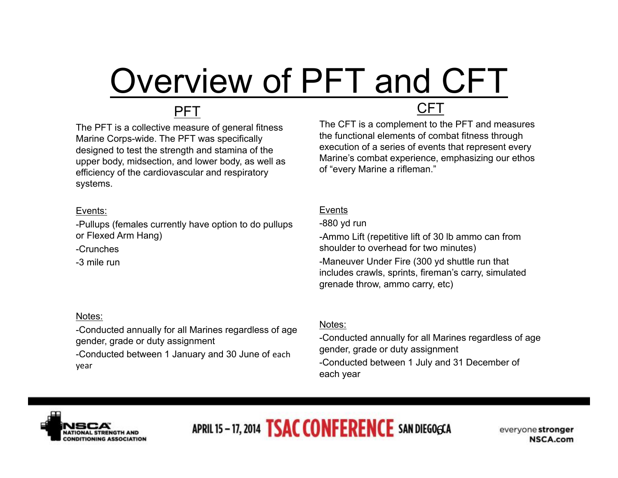# Overview of PFT and CFT

#### PFT

The PFT is a collective measure of general fitness Marine Corps-wide. The PFT was specifically designed to test the strength and stamina of the upper body, midsection, and lower body, as well as efficiency of the cardiovascular and respiratory systems.

#### Events:

-Pullups (females currently have option to do pullups or Flexed Arm Hang)

-Crunches

-3 mile run

#### Notes:

-Conducted annually for all Marines regardless of age gender, grade or duty assignment

-Conducted between 1 January and 30 June of each year

#### CFT

The CFT is a complement to the PFT and measures the functional elements of combat fitness through execution of a series of events that represent every Marine's combat experience, emphasizing our ethos of "every Marine a rifleman."

#### Events

-880 yd run

-Ammo Lift (repetitive lift of 30 lb ammo can from shoulder to overhead for two minutes) -Maneuver Under Fire (300 yd shuttle run that includes crawls, sprints, fireman's carry, simulated grenade throw, ammo carry, etc)

#### Notes:

-Conducted annually for all Marines regardless of age gender, grade or duty assignment -Conducted between 1 July and 31 December of each year



APRIL 15 - 17, 2014 **TSAC CONFERENCE** SAN DIEGOGCA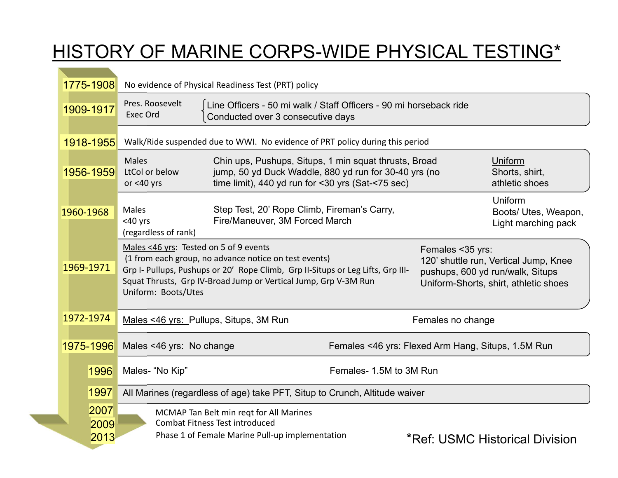### HISTORY OF MARINE CORPS-WIDE PHYSICAL TESTING\*

| 1775-1908    | No evidence of Physical Readiness Test (PRT) policy                                                                                                                                                                                                                          |                                                                                                                                         |  |  |  |  |
|--------------|------------------------------------------------------------------------------------------------------------------------------------------------------------------------------------------------------------------------------------------------------------------------------|-----------------------------------------------------------------------------------------------------------------------------------------|--|--|--|--|
| 1909-1917    | Pres. Roosevelt<br>Line Officers - 50 mi walk / Staff Officers - 90 mi horseback ride<br>Exec Ord<br>Conducted over 3 consecutive days                                                                                                                                       |                                                                                                                                         |  |  |  |  |
| 1918-1955    | Walk/Ride suspended due to WWI. No evidence of PRT policy during this period                                                                                                                                                                                                 |                                                                                                                                         |  |  |  |  |
| 1956-1959    | Chin ups, Pushups, Situps, 1 min squat thrusts, Broad<br>Males<br>jump, 50 yd Duck Waddle, 880 yd run for 30-40 yrs (no<br>LtCol or below<br>time limit), 440 yd run for <30 yrs (Sat-<75 sec)<br>or $<$ 40 yrs                                                              | Uniform<br>Shorts, shirt,<br>athletic shoes                                                                                             |  |  |  |  |
| 1960-1968    | Step Test, 20' Rope Climb, Fireman's Carry,<br>Males<br>Fire/Maneuver, 3M Forced March<br>$<$ 40 yrs<br>(regardless of rank)                                                                                                                                                 | Uniform<br>Boots/ Utes, Weapon,<br>Light marching pack                                                                                  |  |  |  |  |
| 1969-1971    | Males <46 yrs: Tested on 5 of 9 events<br>(1 from each group, no advance notice on test events)<br>Grp I- Pullups, Pushups or 20' Rope Climb, Grp II-Situps or Leg Lifts, Grp III-<br>Squat Thrusts, Grp IV-Broad Jump or Vertical Jump, Grp V-3M Run<br>Uniform: Boots/Utes | Females < 35 yrs:<br>120' shuttle run, Vertical Jump, Knee<br>pushups, 600 yd run/walk, Situps<br>Uniform-Shorts, shirt, athletic shoes |  |  |  |  |
| 1972-1974    | Males <46 yrs: Pullups, Situps, 3M Run                                                                                                                                                                                                                                       | Females no change                                                                                                                       |  |  |  |  |
| 1975-1996    | Males <46 yrs: No change                                                                                                                                                                                                                                                     | Females <46 yrs: Flexed Arm Hang, Situps, 1.5M Run                                                                                      |  |  |  |  |
| 1996         | Males- "No Kip"                                                                                                                                                                                                                                                              | Females- 1.5M to 3M Run                                                                                                                 |  |  |  |  |
| 1997         | All Marines (regardless of age) take PFT, Situp to Crunch, Altitude waiver                                                                                                                                                                                                   |                                                                                                                                         |  |  |  |  |
| 2007<br>2009 | MCMAP Tan Belt min regt for All Marines<br><b>Combat Fitness Test introduced</b>                                                                                                                                                                                             |                                                                                                                                         |  |  |  |  |
| 2013         | Phase 1 of Female Marine Pull-up implementation                                                                                                                                                                                                                              | <b>*Ref: USMC Historical Division</b>                                                                                                   |  |  |  |  |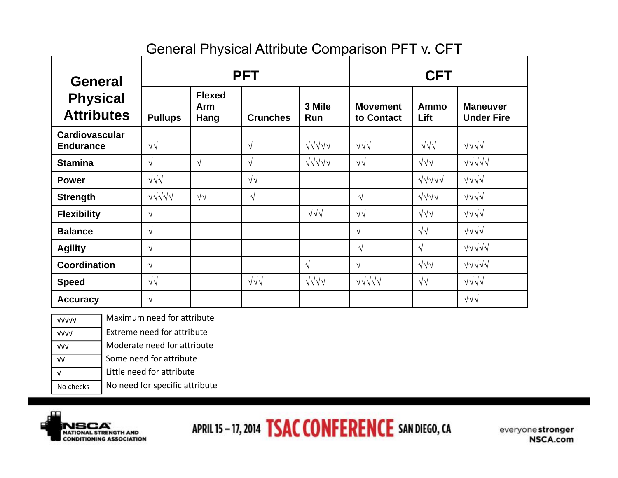#### General Physical Attribute Comparison PFT v. CFT

| <b>General</b>                            | <b>PFT</b>        |                              |                  |                    | <b>CFT</b>                    |                                |                                      |
|-------------------------------------------|-------------------|------------------------------|------------------|--------------------|-------------------------------|--------------------------------|--------------------------------------|
| <b>Physical</b><br><b>Attributes</b>      | <b>Pullups</b>    | <b>Flexed</b><br>Arm<br>Hang | <b>Crunches</b>  | 3 Mile<br>Run      | <b>Movement</b><br>to Contact | Ammo<br>Lift                   | <b>Maneuver</b><br><b>Under Fire</b> |
| <b>Cardiovascular</b><br><b>Endurance</b> | $\sqrt{\sqrt{2}}$ |                              | $\sqrt{}$        | $\sqrt{111}$       | $\sqrt{\sqrt{}}$              | $\sqrt{\sqrt{}}$               | $\sqrt{\sqrt{}}\sqrt{}$              |
| <b>Stamina</b>                            | $\sqrt{}$         | $\sqrt{ }$                   | $\sqrt{ }$       | $\sqrt{111}$       | $\sqrt{\sqrt{2}}$             | $\sqrt{\sqrt{}}$               | $\sqrt{111}$                         |
| <b>Power</b>                              | $\sqrt{\sqrt{}}$  |                              | $\sqrt{2}$       |                    |                               | $\sqrt{111}$                   | $\sqrt{\sqrt{}}$                     |
| <b>Strength</b>                           | $\sqrt{111}$      | $\sqrt{2}$                   | $\sqrt{}$        |                    | $\sqrt{}$                     | $\sqrt{\sqrt{}}\sqrt{\sqrt{}}$ | $\sqrt{\sqrt{}}\sqrt{\sqrt{}}$       |
| <b>Flexibility</b>                        | $\sqrt{ }$        |                              |                  | $\sqrt{\sqrt{}}$   | $\sqrt{2}$                    | $\sqrt{\sqrt{}}$               | $\sqrt{\sqrt{}}\sqrt{}$              |
| <b>Balance</b>                            | $\sqrt{ }$        |                              |                  |                    | $\sqrt{ }$                    | $\sqrt{\sqrt{2}}$              | $\sqrt{\sqrt{}}\sqrt{\sqrt{}}$       |
| <b>Agility</b>                            | $\sqrt{}$         |                              |                  |                    | $\sqrt{}$                     | $\sqrt{ }$                     | $\sqrt{111}$                         |
| Coordination                              | $\sqrt{}$         |                              |                  | $\sqrt{ }$         | $\sqrt{ }$                    | $\sqrt{\sqrt{}}$               | $\sqrt{111}$                         |
| <b>Speed</b>                              | $\sqrt{2}$        |                              | $\sqrt{\sqrt{}}$ | $\sqrt{3}\sqrt{3}$ | $\sqrt{111}$                  | $\sqrt{2}$                     | $\sqrt{\sqrt{}}\sqrt{}}$             |
| <b>Accuracy</b>                           | $\sqrt{ }$        |                              |                  |                    |                               |                                | $\sqrt{\sqrt{}}$                     |

No checks √ √√ √√√ √√√√ √√√√√ No need for specific attribute Little need for attribute Some need for attribute Moderate need for attribute Extreme need for attribute Maximum need for attribute

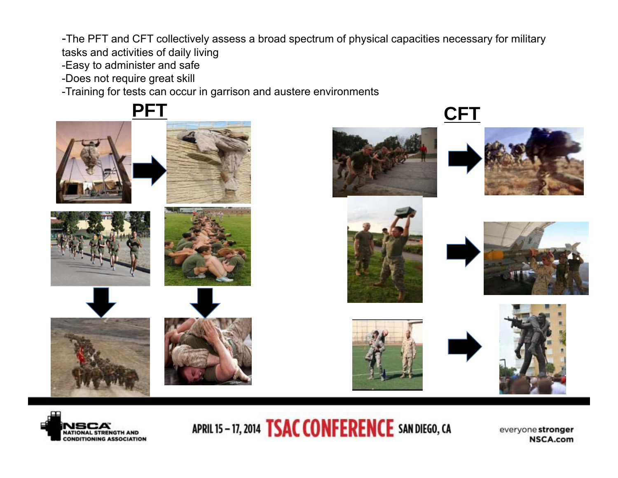-The PFT and CFT collectively assess a broad spectrum of physical capacities necessary for military

tasks and activities of daily living

-Easy to administer and safe

-Does not require great skill

-Training for tests can occur in garrison and austere environments

















APRIL 15-17, 2014 **TSAC CONFERENCE** SAN DIEGO, CA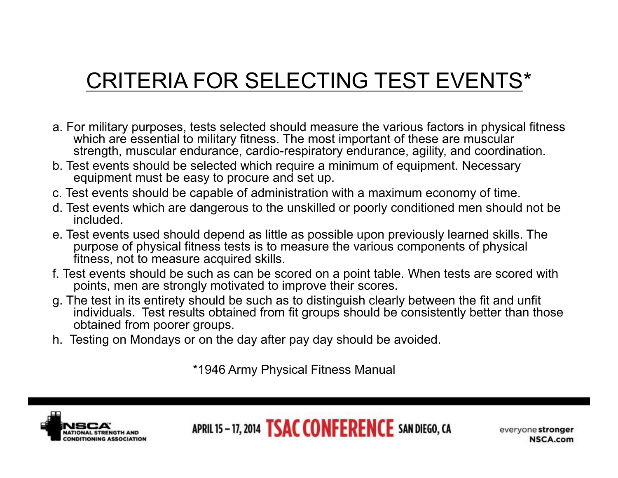## CRITERIA FOR SELECTING TEST EVENTS\*

- a. For military purposes, tests selected should measure the various factors in physical fitness which are essential to military fitness. The most important of these are muscular strength, muscular endurance, cardio-respiratory endurance, agility, and coordination.
- b. Test events should be selected which require a minimum of equipment. Necessary equipment must be easy to procure and set up.
- c. Test events should be capable of administration with a maximum economy of time.
- d. Test events which are dangerous to the unskilled or poorly conditioned men should not be included.
- e. Test events used should depend as little as possible upon previously learned skills. The purpose of physical fitness tests is to measure the various components of physical fitness, not to measure acquired skills.
- f. Test events should be such as can be scored on a point table. When tests are scored with points, men are strongly motivated to improve their scores.
- g. The test in its entirety should be such as to distinguish clearly between the fit and unfit individuals. Test results obtained from fit groups should be consistently better than those obtained from poorer groups.
- h. Testing on Mondays or on the day after pay day should be avoided.

\*1946 Army Physical Fitness Manual



APRIL 15 - 17, 2014 **TSAC CONFERENCE** SAN DIEGO, CA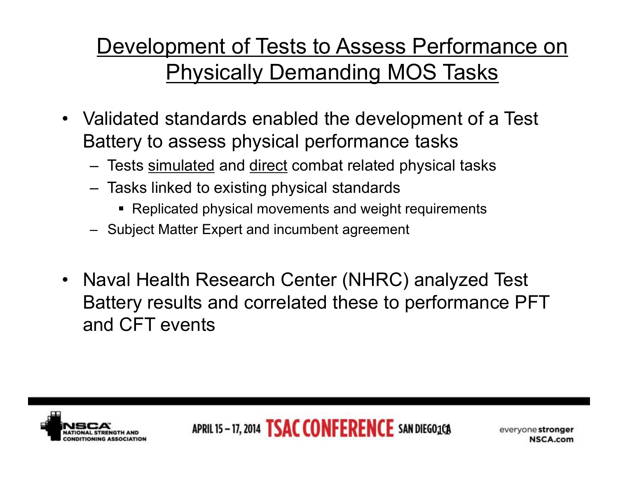## Development of Tests to Assess Performance on Physically Demanding MOS Tasks

- Validated standards enabled the development of a Test Battery to assess physical performance tasks
	- Tests simulated and direct combat related physical tasks
	- Tasks linked to existing physical standards
		- Replicated physical movements and weight requirements
	- Subject Matter Expert and incumbent agreement
- Naval Health Research Center (NHRC) analyzed Test Battery results and correlated these to performance PFT and CFT events

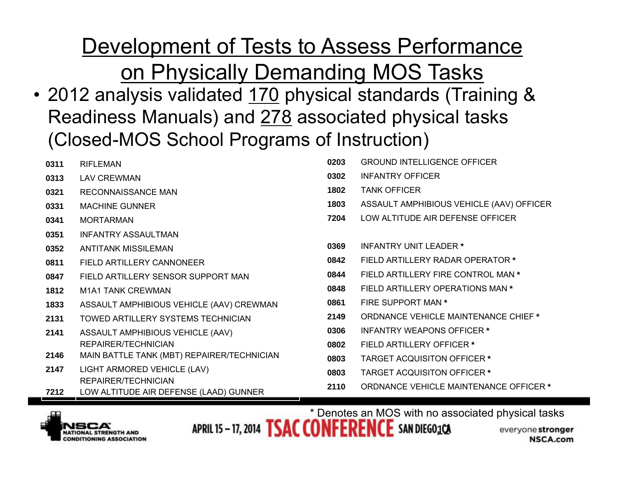Development of Tests to Assess Performance

on Physically Demanding MOS Tasks

• 2012 analysis validated 170 physical standards (Training & Readiness Manuals) and 278 associated physical tasks (Closed-MOS School Programs of Instruction)

| 0311 | <b>RIFLEMAN</b>                                               | 0203 | <b>GROUND INTELLIGENCE OFFICER</b>          |
|------|---------------------------------------------------------------|------|---------------------------------------------|
| 0313 | <b>LAV CREWMAN</b>                                            | 0302 | <b>INFANTRY OFFICER</b>                     |
| 0321 | <b>RECONNAISSANCE MAN</b>                                     | 1802 | <b>TANK OFFICER</b>                         |
| 0331 | <b>MACHINE GUNNER</b>                                         | 1803 | ASSAULT AMPHIBIOUS VEHICLE (AAV) OFFICER    |
| 0341 | <b>MORTARMAN</b>                                              | 7204 | LOW ALTITUDE AIR DEFENSE OFFICER            |
| 0351 | <b>INFANTRY ASSAULTMAN</b>                                    |      |                                             |
| 0352 | ANTITANK MISSILEMAN                                           | 0369 | INFANTRY UNIT LEADER *                      |
| 0811 | FIELD ARTILLERY CANNONEER                                     | 0842 | FIELD ARTILLERY RADAR OPERATOR *            |
| 0847 | FIELD ARTILLERY SENSOR SUPPORT MAN                            | 0844 | FIELD ARTILLERY FIRE CONTROL MAN *          |
| 1812 | M1A1 TANK CREWMAN                                             | 0848 | FIELD ARTILLERY OPERATIONS MAN *            |
| 1833 | ASSAULT AMPHIBIOUS VEHICLE (AAV) CREWMAN                      | 0861 | FIRE SUPPORT MAN *                          |
| 2131 | TOWED ARTILLERY SYSTEMS TECHNICIAN                            | 2149 | <b>ORDNANCE VEHICLE MAINTENANCE CHIEF *</b> |
| 2141 | ASSAULT AMPHIBIOUS VEHICLE (AAV)                              | 0306 | <b>INFANTRY WEAPONS OFFICER *</b>           |
|      | REPAIRER/TECHNICIAN                                           | 0802 | <b>FIELD ARTILLERY OFFICER *</b>            |
| 2146 | MAIN BATTLE TANK (MBT) REPAIRER/TECHNICIAN                    | 0803 | <b>TARGET ACQUISITON OFFICER *</b>          |
| 2147 | LIGHT ARMORED VEHICLE (LAV)                                   | 0803 | <b>TARGET ACQUISITON OFFICER *</b>          |
| 7212 | REPAIRER/TECHNICIAN<br>LOW ALTITUDE AIR DEFENSE (LAAD) GUNNER | 2110 | ORDNANCE VEHICLE MAINTENANCE OFFICER *      |



APRIL 15-17, 2014 **TSAC CONFERENCE** SAN DIEGO<sub>3</sub>CA \* Denotes an MOS with no associated physical tasks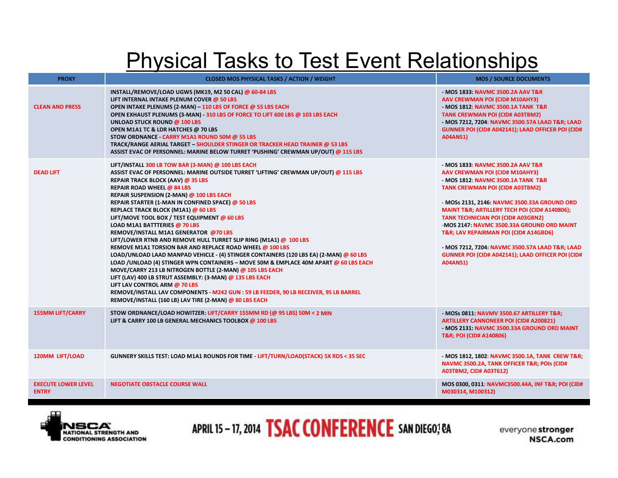### Physical Tasks to Test Event Relationships

| <b>PROXY</b>                               | <b>CLOSED MOS PHYSICAL TASKS / ACTION / WEIGHT</b>                                                                                                                                                                                                                                                                                                                                                                                                                                                                                                                                                                                                                                                                                                                                                                                                                                                                                                                                                                                                                                                                           | <b>MOS / SOURCE DOCUMENTS</b>                                                                                                                                                                                                                                                                                                                                                                                                                                                                                    |
|--------------------------------------------|------------------------------------------------------------------------------------------------------------------------------------------------------------------------------------------------------------------------------------------------------------------------------------------------------------------------------------------------------------------------------------------------------------------------------------------------------------------------------------------------------------------------------------------------------------------------------------------------------------------------------------------------------------------------------------------------------------------------------------------------------------------------------------------------------------------------------------------------------------------------------------------------------------------------------------------------------------------------------------------------------------------------------------------------------------------------------------------------------------------------------|------------------------------------------------------------------------------------------------------------------------------------------------------------------------------------------------------------------------------------------------------------------------------------------------------------------------------------------------------------------------------------------------------------------------------------------------------------------------------------------------------------------|
| <b>CLEAN AND PRESS</b>                     | INSTALL/REMOVE/LOAD UGWS (MK19, M2 50 CAL) @ 60-84 LBS<br>LIFT INTERNAL INTAKE PLENUM COVER @ 50 LBS<br>OPEN INTAKE PLENUMS (2-MAN) - 110 LBS OF FORCE @ 55 LBS EACH<br>OPEN EXHAUST PLENUMS (3-MAN) - 310 LBS OF FORCE TO LIFT 600 LBS @ 103 LBS EACH<br><b>UNLOAD STUCK ROUND @ 100 LBS</b><br>OPEN M1A1 TC & LDR HATCHES @ 70 LBS<br>STOW ORDNANCE - CARRY M1A1 ROUND 50M @ 55 LBS<br>TRACK/RANGE AERIAL TARGET - SHOULDER STINGER OR TRACKER HEAD TRAINER @ 53 LBS<br>ASSIST EVAC OF PERSONNEL: MARINE BELOW TURRET 'PUSHING' CREWMAN UP/OUT) @ 115 LBS                                                                                                                                                                                                                                                                                                                                                                                                                                                                                                                                                                  | - MOS 1833, NAVMC 3500.2A AAV T&R<br>AAV CREWMAN POI (CID# M10AHY3)<br>- MOS 1812: NAVMC 3500.1A TANK T&R<br><b>TANK CREWMAN POI (CID# A03TBM2)</b><br>- MOS 7212, 7204: NAVMC 3500.57A LAAD T&R LAAD<br>GUNNER POI (CID# A042141); LAAD OFFICER POI (CID#<br><b>A04ANS1)</b>                                                                                                                                                                                                                                    |
| <b>DEAD LIFT</b>                           | LIFT/INSTALL 300 LB TOW BAR (3-MAN) @ 100 LBS EACH<br>ASSIST EVAC OF PERSONNEL: MARINE OUTSIDE TURRET 'LIFTING' CREWMAN UP/OUT) @ 115 LBS<br><b>REPAIR TRACK BLOCK (AAV) @ 35 LBS</b><br><b>REPAIR ROAD WHEEL @ 84 LBS</b><br>REPAIR SUSPENSION (2-MAN) @ 100 LBS EACH<br>REPAIR STARTER (1-MAN IN CONFINED SPACE) @ 50 LBS<br>REPLACE TRACK BLOCK (M1A1) @ 60 LBS<br>LIFT/MOVE TOOL BOX / TEST EQUIPMENT @ 60 LBS<br>LOAD M1A1 BATTTERIES @ 70 LBS<br>REMOVE/INSTALL M1A1 GENERATOR @70 LBS<br>LIFT/LOWER RTNB AND REMOVE HULL TURRET SLIP RING (M1A1) @ 100 LBS<br>REMOVE M1A1 TORSION BAR AND REPLACE ROAD WHEEL @ 100 LBS<br>LOAD/UNLOAD LAAD MANPAD VEHICLE - (4) STINGER CONTAINERS (120 LBS EA) (2-MAN) @ 60 LBS<br>LOAD / UNLOAD (4) STINGER WPN CONTAINERS - MOVE 50M & EMPLACE 40M APART @ 60 LBS EACH<br>MOVE/CARRY 213 LB NITROGEN BOTTLE (2-MAN) @ 105 LBS EACH<br>LIFT (LAV) 400 LB STRUT ASSEMBLY: (3-MAN) @ 135 LBS EACH<br>LIFT LAV CONTROL ARM @ 70 LBS<br>REMOVE/INSTALL LAV COMPONENTS - M242 GUN : 59 LB FEEDER, 90 LB RECEIVER, 95 LB BARREL<br>REMOVE/INSTALL (160 LB) LAV TIRE (2-MAN) @ 80 LBS EACH | - MOS 1833: NAVMC 3500.2A AAV T&R<br>AAV CREWMAN POI (CID# M10AHY3)<br>- MOS 1812: NAVMC 3500.1A TANK T&R<br><b>TANK CREWMAN POI (CID# A03TBM2)</b><br>- MOSs 2131, 2146: NAVMC 3500.33A GROUND ORD<br>MAINT T&R ARTILLERY TECH POI (CID# A140806);<br><b>TANK TECHNICIAN POI (CID# A03GBN2)</b><br>-MOS 2147: NAVMC 3500.33A GROUND ORD MAINT<br>T&R LAV REPAIRMAN POI (CID# A14GBD6)<br>- MOS 7212, 7204: NAVMC 3500.57A LAAD T&R LAAD<br>GUNNER POI (CID# A042141); LAAD OFFICER POI (CID#<br><b>A04ANS1)</b> |
| <b>155MM LIFT/CARRY</b>                    | STOW ORDNANCE/LOAD HOWITZER: LIFT/CARRY 155MM RD (@ 95 LBS) 50M < 2 MIN<br>LIFT & CARRY 100 LB GENERAL MECHANICS TOOLBOX @ 100 LBS                                                                                                                                                                                                                                                                                                                                                                                                                                                                                                                                                                                                                                                                                                                                                                                                                                                                                                                                                                                           | - MOSs 0811: NAVMV 3500.67 ARTILLERY T&R<br><b>ARTILLERY CANNONEER POI (CID# A200821)</b><br>- MOS 2131: NAVMC 3500.33A GROUND ORD MAINT<br>T&R POI (CID# A140806)                                                                                                                                                                                                                                                                                                                                               |
| <b>120MM LIFT/LOAD</b>                     | GUNNERY SKILLS TEST: LOAD M1A1 ROUNDS FOR TIME - LIFT/TURN/LOAD(STACK) 5X RDS < 35 SEC                                                                                                                                                                                                                                                                                                                                                                                                                                                                                                                                                                                                                                                                                                                                                                                                                                                                                                                                                                                                                                       | - MOS 1812, 1802: NAVMC 3500.1A, TANK CREW T&R<br>NAVMC 3500.2A, TANK OFFICER T&R POIs (CID#<br><b>A03TBM2, CID# A03T612)</b>                                                                                                                                                                                                                                                                                                                                                                                    |
| <b>EXECUTE LOWER LEVEL</b><br><b>ENTRY</b> | <b>NEGOTIATE OBSTACLE COURSE WALL</b>                                                                                                                                                                                                                                                                                                                                                                                                                                                                                                                                                                                                                                                                                                                                                                                                                                                                                                                                                                                                                                                                                        | MOS 0300, 0311: NAVMC3500.44A, INF T&R POI (CID#<br>M030314, M100312)                                                                                                                                                                                                                                                                                                                                                                                                                                            |



### APRIL 15-17, 2014 **TSAC CONFERENCE** SAN DIEGO; CA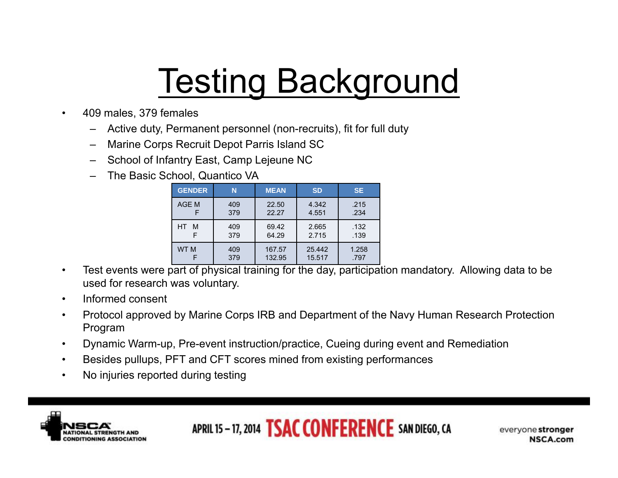# **Testing Background**

- 409 males, 379 females
	- Active duty, Permanent personnel (non-recruits), fit for full duty
	- Marine Corps Recruit Depot Parris Island SC
	- School of Infantry East, Camp Lejeune NC
	- The Basic School, Quantico VA

| <b>GENDER</b>   | N   | <b>MEAN</b> | <b>SD</b> | <b>SE</b> |
|-----------------|-----|-------------|-----------|-----------|
| AGE M           | 409 | 22.50       | 4.342     | .215      |
|                 | 379 | 22.27       | 4.551     | .234      |
| HT.             | 409 | 69.42       | 2.665     | .132      |
| M               | 379 | 64.29       | 2.715     | .139      |
| WT <sub>M</sub> | 409 | 167.57      | 25.442    | 1.258     |
|                 | 379 | 132.95      | 15.517    | .797      |

- Test events were part of physical training for the day, participation mandatory. Allowing data to be used for research was voluntary.
- Informed consent
- Protocol approved by Marine Corps IRB and Department of the Navy Human Research Protection Program
- Dynamic Warm-up, Pre-event instruction/practice, Cueing during event and Remediation
- Besides pullups, PFT and CFT scores mined from existing performances
- No injuries reported during testing

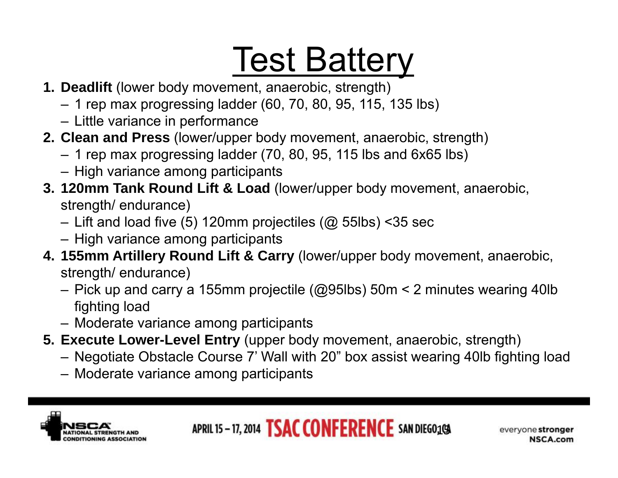# **Test Battery**

- **1. Deadlift** (lower body movement, anaerobic, strength)
	- 1 rep max progressing ladder (60, 70, 80, 95, 115, 135 lbs)
	- Little variance in performance
- **2. Clean and Press** (lower/upper body movement, anaerobic, strength)
	- 1 rep max progressing ladder (70, 80, 95, 115 lbs and 6x65 lbs)
	- High variance among participants
- **3. 120mm Tank Round Lift & Load** (lower/upper body movement, anaerobic, strength/ endurance)
	- Lift and load five (5) 120mm projectiles (@ 55lbs) <35 sec
	- High variance among participants
- **4. 155mm Artillery Round Lift & Carry** (lower/upper body movement, anaerobic, strength/ endurance)
	- Pick up and carry a 155mm projectile (@95lbs) 50m < 2 minutes wearing 40lb fighting load
	- Moderate variance among participants
- **5. Execute Lower-Level Entry** (upper body movement, anaerobic, strength)
	- Negotiate Obstacle Course 7' Wall with 20" box assist wearing 40lb fighting load
	- Moderate variance among participants



APRIL 15 - 17, 2014 **TSAC CONFERENCE** SAN DIEGO1GA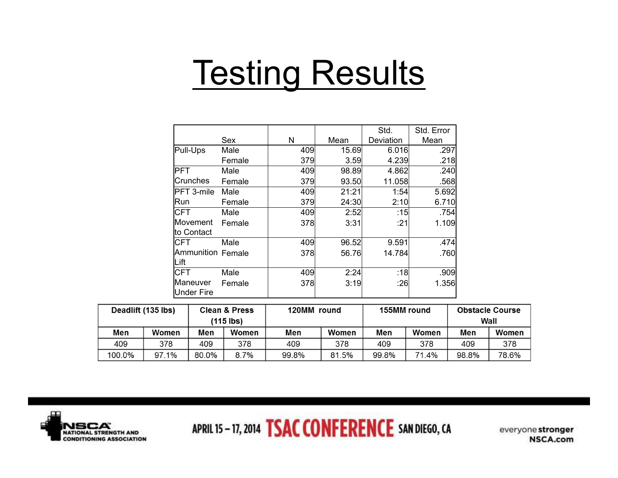## **Testing Results**

| Under Fire |                                                                                  |                                                                                                                                   |                                                                                       |                                                                                                             |                                                                                                                       |
|------------|----------------------------------------------------------------------------------|-----------------------------------------------------------------------------------------------------------------------------------|---------------------------------------------------------------------------------------|-------------------------------------------------------------------------------------------------------------|-----------------------------------------------------------------------------------------------------------------------|
|            |                                                                                  |                                                                                                                                   |                                                                                       |                                                                                                             |                                                                                                                       |
|            |                                                                                  |                                                                                                                                   |                                                                                       |                                                                                                             | 1.356                                                                                                                 |
| CFT        |                                                                                  |                                                                                                                                   |                                                                                       |                                                                                                             | .909                                                                                                                  |
| Lift       |                                                                                  |                                                                                                                                   |                                                                                       |                                                                                                             |                                                                                                                       |
|            |                                                                                  |                                                                                                                                   |                                                                                       |                                                                                                             | .760                                                                                                                  |
| CFT        |                                                                                  |                                                                                                                                   |                                                                                       |                                                                                                             | .474                                                                                                                  |
|            |                                                                                  |                                                                                                                                   |                                                                                       |                                                                                                             |                                                                                                                       |
|            |                                                                                  |                                                                                                                                   |                                                                                       |                                                                                                             | 1.109                                                                                                                 |
|            |                                                                                  |                                                                                                                                   |                                                                                       |                                                                                                             | .754                                                                                                                  |
| Run        |                                                                                  |                                                                                                                                   |                                                                                       |                                                                                                             | 6.710                                                                                                                 |
|            |                                                                                  |                                                                                                                                   |                                                                                       |                                                                                                             | 5.692                                                                                                                 |
|            |                                                                                  |                                                                                                                                   |                                                                                       |                                                                                                             | .568                                                                                                                  |
| PFT.       |                                                                                  |                                                                                                                                   |                                                                                       |                                                                                                             | .240                                                                                                                  |
|            |                                                                                  |                                                                                                                                   |                                                                                       |                                                                                                             | .218                                                                                                                  |
|            |                                                                                  |                                                                                                                                   |                                                                                       |                                                                                                             | .297                                                                                                                  |
|            |                                                                                  |                                                                                                                                   |                                                                                       |                                                                                                             | Std. Error<br>Mean                                                                                                    |
|            | Pull-Ups<br>Crunches<br>PFT 3-mile<br>CFT<br>lMovement<br>to Contact<br>Maneuver | Sex<br>Male<br>Female<br>Male<br>Female<br>Male<br>Female<br>Male<br>Female<br>Male<br><b>Ammunition Female</b><br>Male<br>Female | N<br>409<br>379<br>409<br>379<br>409<br>379<br>409<br>378<br>409<br>378<br>409<br>378 | Mean<br>15.69<br>3.59<br>98.89<br>93.50<br>21:21<br>24:30<br>2:52<br>3:31<br>96.52<br>56.76<br>2:24<br>3:19 | Std.<br>Deviation<br>6.016<br>4.239<br>4.862<br>11.058<br>1:54<br>2:10<br>:15<br>:21<br>9.591<br>14.784<br>:18<br>:26 |

| Deadlift (135 lbs) |       |       | <b>Clean &amp; Press</b><br>(115 lbs) | 120MM round |       | 155MM round |           | <b>Obstacle Course</b><br>Wall |       |
|--------------------|-------|-------|---------------------------------------|-------------|-------|-------------|-----------|--------------------------------|-------|
| Men                | Women | Men   | Women                                 | Men         | Women | Men         | Women     | Men                            | Women |
| 409                | 378   | 409   | 378                                   | 409         | 378   | 409         | 378       | 409                            | 378   |
| 100.0%             | 97.1% | 80.0% | 8.7%                                  | 99.8%       | 81.5% | 99.8%       | .4%<br>71 | 98.8%                          | 78.6% |



APRIL 15-17, 2014 **TSAC CONFERENCE** SAN DIEGO, CA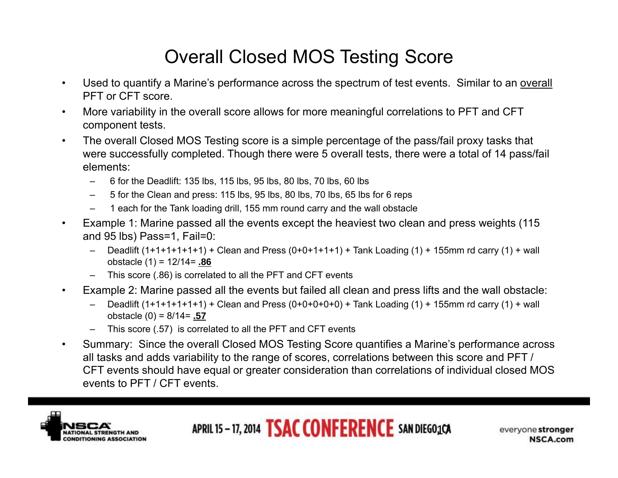### Overall Closed MOS Testing Score

- Used to quantify a Marine's performance across the spectrum of test events. Similar to an overall PFT or CFT score.
- More variability in the overall score allows for more meaningful correlations to PFT and CFT component tests.
- The overall Closed MOS Testing score is a simple percentage of the pass/fail proxy tasks that were successfully completed. Though there were 5 overall tests, there were a total of 14 pass/fail elements:
	- 6 for the Deadlift: 135 lbs, 115 lbs, 95 lbs, 80 lbs, 70 lbs, 60 lbs
	- 5 for the Clean and press: 115 lbs, 95 lbs, 80 lbs, 70 lbs, 65 lbs for 6 reps
	- 1 each for the Tank loading drill, 155 mm round carry and the wall obstacle
- Example 1: Marine passed all the events except the heaviest two clean and press weights (115 and 95 lbs) Pass=1, Fail=0:
	- Deadlift  $(1+1+1+1+1)$  + Clean and Press  $(0+0+1+1+1)$  + Tank Loading  $(1)$  + 155mm rd carry  $(1)$  + wall obstacle (1) = 12/14= **.86**
	- This score (.86) is correlated to all the PFT and CFT events
- Example 2: Marine passed all the events but failed all clean and press lifts and the wall obstacle:
	- Deadlift  $(1+1+1+1+1)$  + Clean and Press  $(0+0+0+0+0)$  + Tank Loading  $(1)$  + 155mm rd carry  $(1)$  + wall obstacle (0) = 8/14= **.57**
	- This score (.57) is correlated to all the PFT and CFT events
- Summary: Since the overall Closed MOS Testing Score quantifies a Marine's performance across all tasks and adds variability to the range of scores, correlations between this score and PFT / CFT events should have equal or greater consideration than correlations of individual closed MOS events to PFT / CFT events.



APRIL 15-17, 2014 **TSAC CONFERENCE** SAN DIEGO<sub>3</sub>CA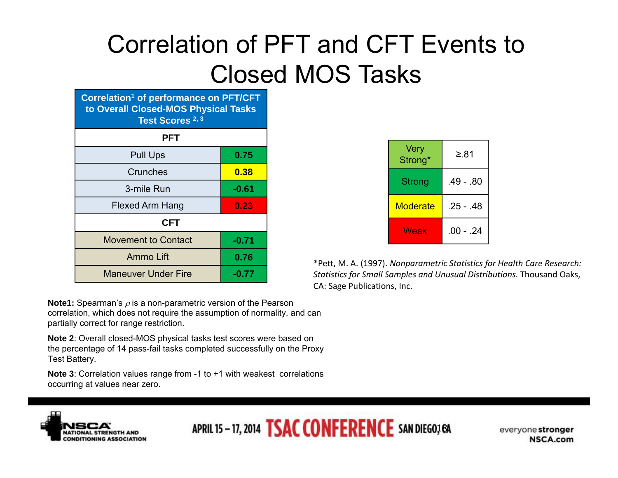## Correlation of PFT and CFT Events to Closed MOS Tasks

**Correlation1 of performance on PFT/CFT to Overall Closed-MOS Physical Tasks Test Scores 2, 3**

| <b>PFT</b>                 |         |  |  |  |  |
|----------------------------|---------|--|--|--|--|
| <b>Pull Ups</b>            | 0.75    |  |  |  |  |
| Crunches                   | 0.38    |  |  |  |  |
| 3-mile Run                 | $-0.61$ |  |  |  |  |
| Flexed Arm Hang            | 0.23    |  |  |  |  |
| <b>CFT</b>                 |         |  |  |  |  |
| <b>Movement to Contact</b> | $-0.71$ |  |  |  |  |
| Ammo Lift                  | 0.76    |  |  |  |  |
| <b>Maneuver Under Fire</b> | $-0.77$ |  |  |  |  |

**Note1:** Spearman's  $\rho$  is a non-parametric version of the Pearson correlation, which does not require the assumption of normality, and can partially correct for range restriction.

**Note 2**: Overall closed-MOS physical tasks test scores were based on the percentage of 14 pass-fail tasks completed successfully on the Proxy Test Battery.

**Note 3**: Correlation values range from -1 to +1 with weakest correlations occurring at values near zero.

| Very<br>Strong* | ≥.81        |
|-----------------|-------------|
| Strong          | .49 - .80   |
| Moderate        | .25 - .48   |
| Weak            | $.00 - .24$ |

\*Pett, M. A. (1997). *Nonparametric Statistics for Health Care Research: Statistics for Small Samples and Unusual Distributions.* Thousand Oaks, CA: Sage Publications, Inc.



APRIL 15 - 17, 2014 **TSAC CONFERENCE** SAN DIEGO; 6A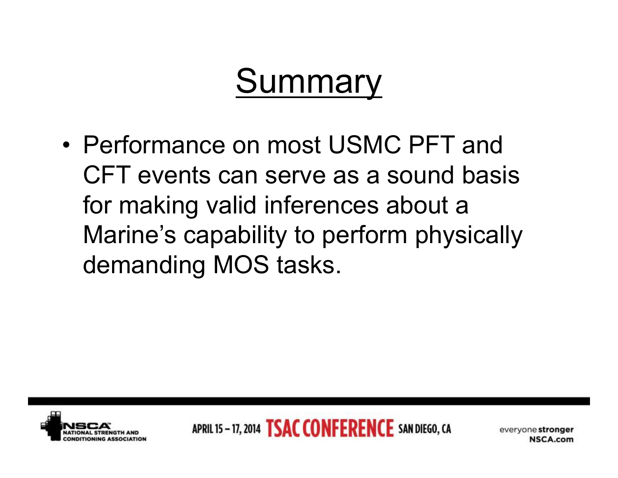## **Summary**

• Performance on most USMC PFT and CFT events can serve as a sound basis for making valid inferences about a Marine's capability to perform physically demanding MOS tasks.